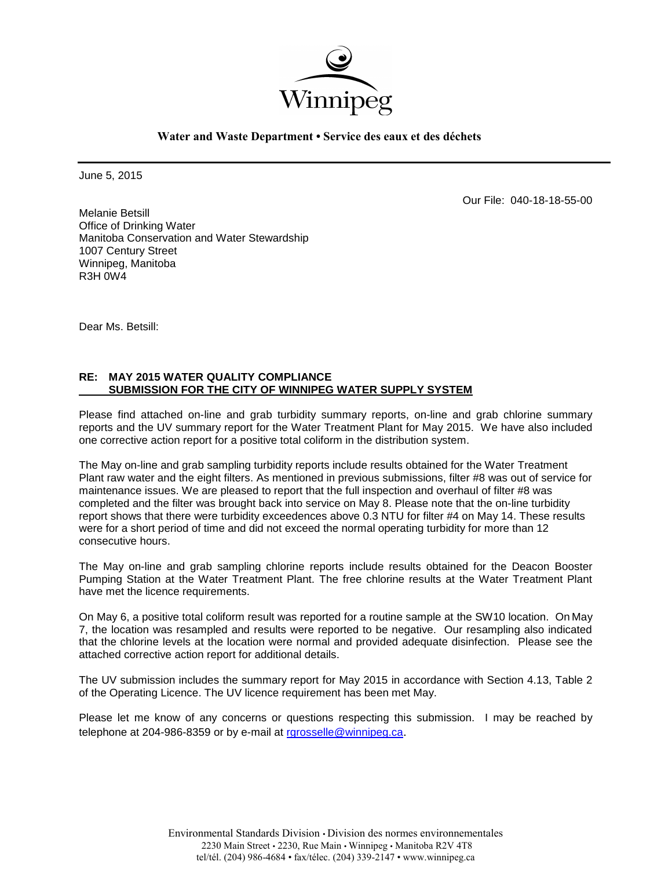

**Water and Waste Department • Service des eaux et des déchets**

June 5, 2015

Our File: 040-18-18-55-00

Melanie Betsill Office of Drinking Water Manitoba Conservation and Water Stewardship 1007 Century Street Winnipeg, Manitoba R3H 0W4

Dear Ms. Betsill:

### **RE: MAY 2015 WATER QUALITY COMPLIANCE SUBMISSION FOR THE CITY OF WINNIPEG WATER SUPPLY SYSTEM**

Please find attached on-line and grab turbidity summary reports, on-line and grab chlorine summary reports and the UV summary report for the Water Treatment Plant for May 2015. We have also included one corrective action report for a positive total coliform in the distribution system.

The May on-line and grab sampling turbidity reports include results obtained for the Water Treatment Plant raw water and the eight filters. As mentioned in previous submissions, filter #8 was out of service for maintenance issues. We are pleased to report that the full inspection and overhaul of filter #8 was completed and the filter was brought back into service on May 8. Please note that the on-line turbidity report shows that there were turbidity exceedences above 0.3 NTU for filter #4 on May 14. These results were for a short period of time and did not exceed the normal operating turbidity for more than 12 consecutive hours.

The May on-line and grab sampling chlorine reports include results obtained for the Deacon Booster Pumping Station at the Water Treatment Plant. The free chlorine results at the Water Treatment Plant have met the licence requirements.

On May 6, a positive total coliform result was reported for a routine sample at the SW10 location. On May 7, the location was resampled and results were reported to be negative. Our resampling also indicated that the chlorine levels at the location were normal and provided adequate disinfection. Please see the attached corrective action report for additional details.

The UV submission includes the summary report for May 2015 in accordance with Section 4.13, Table 2 of the Operating Licence. The UV licence requirement has been met May.

Please let me know of any concerns or questions respecting this submission. I may be reached by telephone at 204-986-8359 or by e-mail at [rgrosselle@winnipeg.ca](mailto:rgrosselle@winnipeg.ca).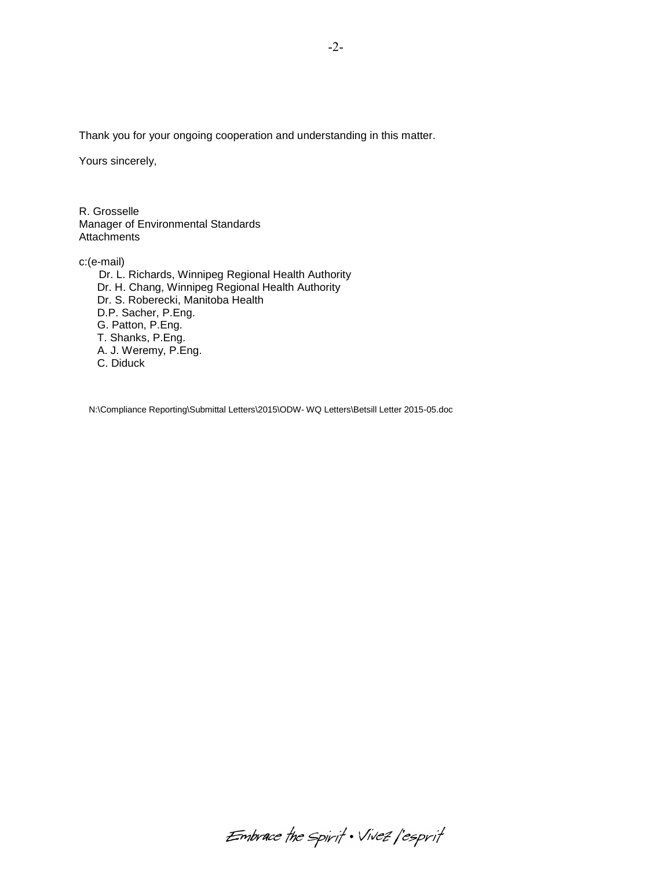Thank you for your ongoing cooperation and understanding in this matter.

Yours sincerely,

R. Grosselle Manager of Environmental Standards **Attachments** 

c:(e-mail)

Dr. L. Richards, Winnipeg Regional Health Authority Dr. H. Chang, Winnipeg Regional Health Authority Dr. S. Roberecki, Manitoba Health D.P. Sacher, P.Eng. G. Patton, P.Eng. T. Shanks, P.Eng. A. J. Weremy, P.Eng. C. Diduck

N:\Compliance Reporting\Submittal Letters\2015\ODW- WQ Letters\Betsill Letter 2015-05.doc

Embrace the Spirit . Vivez l'esprit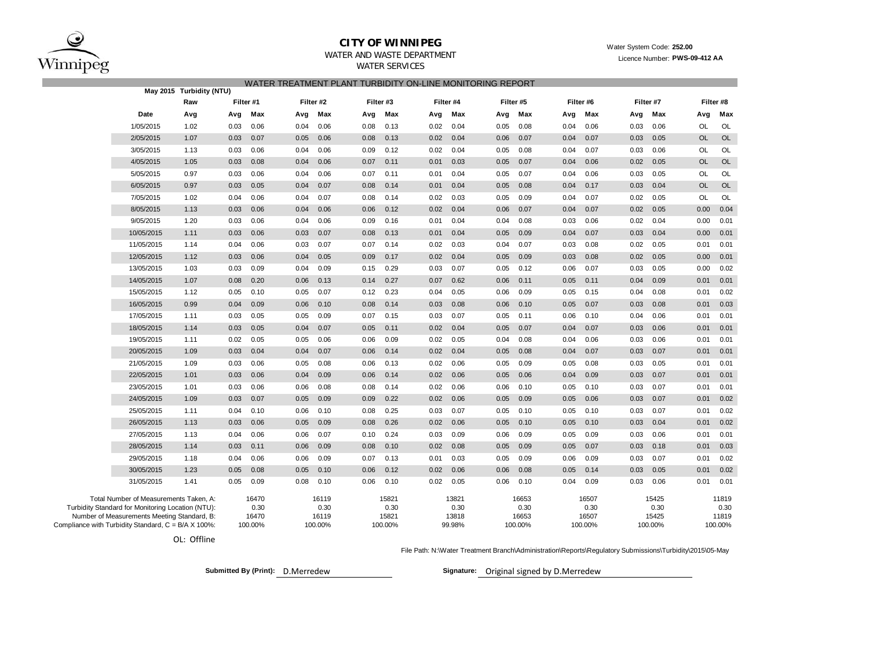

#### **CITY OF WINNIPEG**

WATER AND WASTE DEPARTMENTWATER SERVICES

Licence Number: **PWS-09-412 AA**

| May 2015 Turbidity (NTU)                            |           |           | WATER TREATMENT PLANT TURBIDITY ON-LINE MONITORING REPORT |           |           |           |           |           |
|-----------------------------------------------------|-----------|-----------|-----------------------------------------------------------|-----------|-----------|-----------|-----------|-----------|
| Raw                                                 | Filter #1 | Filter #2 | Filter #3                                                 | Filter #4 | Filter #5 | Filter #6 | Filter #7 | Filter #8 |
| Date                                                | Max       | Max       | Max                                                       | Max       | Max       | Max       | Max       | Max       |
| Avg                                                 | Avg       | Avg       | Avg                                                       | Avg       | Avg       | Avg       | Avg       | Avg       |
| 1/05/2015                                           | 0.03      | 0.04      | 0.08                                                      | 0.02      | 0.08      | 0.04      | 0.03      | OL        |
| 1.02                                                | 0.06      | 0.06      | 0.13                                                      | 0.04      | 0.05      | 0.06      | 0.06      | OL        |
| 2/05/2015                                           | 0.03      | 0.05      | 0.13                                                      | 0.02      | 0.07      | 0.07      | 0.05      | <b>OL</b> |
| 1.07                                                | 0.07      | 0.06      | 0.08                                                      | 0.04      | 0.06      | 0.04      | 0.03      | OL        |
| 3/05/2015                                           | 0.03      | 0.04      | 0.12                                                      | 0.02      | 0.05      | 0.07      | 0.06      | OL        |
| 1.13                                                | 0.06      | 0.06      | 0.09                                                      | 0.04      | 0.08      | 0.04      | 0.03      | OL        |
| 4/05/2015                                           | 0.03      | 0.04      | 0.07                                                      | 0.01      | 0.07      | 0.04      | 0.05      | <b>OL</b> |
| 1.05                                                | 0.08      | 0.06      | 0.11                                                      | 0.03      | 0.05      | 0.06      | 0.02      | <b>OL</b> |
| 0.97                                                | 0.03      | 0.04      | 0.11                                                      | 0.01      | 0.05      | 0.06      | 0.03      | OL        |
| 5/05/2015                                           | 0.06      | 0.06      | 0.07                                                      | 0.04      | 0.07      | 0.04      | 0.05      | OL        |
| 6/05/2015                                           | 0.05      | 0.07      | 0.08                                                      | 0.04      | 0.05      | 0.04      | 0.04      | <b>OL</b> |
| 0.97                                                | 0.03      | 0.04      | 0.14                                                      | 0.01      | 0.08      | 0.17      | 0.03      | <b>OL</b> |
| 7/05/2015                                           | 0.04      | 0.04      | 0.14                                                      | 0.02      | 0.05      | 0.07      | 0.02      | OL        |
| 1.02                                                | 0.06      | 0.07      | 0.08                                                      | 0.03      | 0.09      | 0.04      | 0.05      | OL        |
| 1.13                                                | 0.03      | 0.04      | 0.12                                                      | 0.02      | 0.06      | 0.04      | 0.02      | 0.00      |
| 8/05/2015                                           | 0.06      | 0.06      | 0.06                                                      | 0.04      | 0.07      | 0.07      | 0.05      | 0.04      |
| 9/05/2015                                           | 0.06      | 0.04      | 0.09                                                      | 0.04      | 0.04      | 0.03      | 0.04      | 0.00      |
| 1.20                                                | 0.03      | 0.06      | 0.16                                                      | 0.01      | 0.08      | 0.06      | 0.02      | 0.01      |
| 10/05/2015                                          | 0.06      | 0.07      | 0.08                                                      | 0.04      | 0.05      | 0.07      | 0.04      | 0.00      |
| 1.11                                                | 0.03      | 0.03      | 0.13                                                      | 0.01      | 0.09      | 0.04      | 0.03      | 0.01      |
| 11/05/2015                                          | 0.06      | 0.03      | 0.07                                                      | 0.03      | 0.04      | 0.03      | 0.05      | 0.01      |
| 1.14                                                | 0.04      | 0.07      | 0.14                                                      | 0.02      | 0.07      | 0.08      | 0.02      | 0.01      |
| 12/05/2015                                          | 0.03      | 0.04      | 0.17                                                      | 0.02      | 0.05      | 0.08      | 0.02      | 0.00      |
| 1.12                                                | 0.06      | 0.05      | 0.09                                                      | 0.04      | 0.09      | 0.03      | 0.05      | 0.01      |
| 13/05/2015                                          | 0.09      | 0.04      | 0.29                                                      | 0.07      | 0.12      | 0.07      | 0.05      | 0.00      |
| 1.03                                                | 0.03      | 0.09      | 0.15                                                      | 0.03      | 0.05      | 0.06      | 0.03      | 0.02      |
| 14/05/2015                                          | 0.20      | 0.13      | 0.27                                                      | 0.62      | 0.11      | 0.05      | 0.09      | 0.01      |
| 1.07                                                | 0.08      | 0.06      | 0.14                                                      | 0.07      | 0.06      | 0.11      | 0.04      | 0.01      |
| 15/05/2015                                          | 0.05      | 0.05      | 0.23                                                      | 0.04      | 0.06      | 0.15      | 0.08      | 0.01      |
| 1.12                                                | 0.10      | 0.07      | 0.12                                                      | 0.05      | 0.09      | 0.05      | 0.04      | 0.02      |
| 16/05/2015                                          | 0.04      | 0.06      | 0.14                                                      | 0.03      | 0.06      | 0.07      | 0.03      | 0.01      |
| 0.99                                                | 0.09      | 0.10      | 0.08                                                      | 0.08      | 0.10      | 0.05      | 0.08      | 0.03      |
| 17/05/2015                                          | 0.03      | 0.05      | 0.15                                                      | 0.07      | 0.05      | 0.10      | 0.06      | 0.01      |
| 1.11                                                | 0.05      | 0.09      | 0.07                                                      | 0.03      | 0.11      | 0.06      | 0.04      | 0.01      |
| 18/05/2015                                          | 0.05      | 0.07      | 0.05                                                      | 0.04      | 0.07      | 0.04      | 0.06      | 0.01      |
| 1.14                                                | 0.03      | 0.04      | 0.11                                                      | 0.02      | 0.05      | 0.07      | 0.03      | 0.01      |
| 19/05/2015                                          | 0.02      | 0.05      | 0.09                                                      | 0.02      | 0.04      | 0.06      | 0.03      | 0.01      |
| 1.11                                                | 0.05      | 0.06      | 0.06                                                      | 0.05      | 0.08      | 0.04      | 0.06      | 0.01      |
| 1.09                                                | 0.03      | 0.07      | 0.14                                                      | 0.02      | 0.05      | 0.04      | 0.07      | 0.01      |
| 20/05/2015                                          | 0.04      | 0.04      | 0.06                                                      | 0.04      | 0.08      | 0.07      | 0.03      | 0.01      |
| 21/05/2015                                          | 0.03      | 0.05      | 0.06                                                      | 0.02      | 0.05      | 0.05      | 0.03      | 0.01      |
| 1.09                                                | 0.06      | 0.08      | 0.13                                                      | 0.06      | 0.09      | 0.08      | 0.05      | 0.01      |
| 22/05/2015                                          | 0.03      | 0.04      | 0.14                                                      | 0.02      | 0.05      | 0.04      | 0.03      | 0.01      |
| 1.01                                                | 0.06      | 0.09      | 0.06                                                      | 0.06      | 0.06      | 0.09      | 0.07      | 0.01      |
| 23/05/2015                                          | 0.03      | 0.08      | 0.08                                                      | 0.02      | 0.06      | 0.05      | 0.03      | 0.01      |
| 1.01                                                | 0.06      | 0.06      | 0.14                                                      | 0.06      | 0.10      | 0.10      | 0.07      | 0.01      |
| 1.09                                                | 0.07      | 0.05      | 0.22                                                      | 0.02      | 0.05      | 0.06      | 0.07      | 0.02      |
| 24/05/2015                                          | 0.03      | 0.09      | 0.09                                                      | 0.06      | 0.09      | 0.05      | 0.03      | 0.01      |
| 25/05/2015                                          | 0.04      | 0.10      | 0.08                                                      | 0.03      | 0.10      | 0.05      | 0.03      | 0.01      |
| 1.11                                                | 0.10      | 0.06      | 0.25                                                      | 0.07      | 0.05      | 0.10      | 0.07      | 0.02      |
| 26/05/2015                                          | 0.03      | 0.09      | 0.26                                                      | 0.02      | 0.10      | 0.05      | 0.03      | 0.02      |
| 1.13                                                | 0.06      | 0.05      | 0.08                                                      | 0.06      | 0.05      | 0.10      | 0.04      | 0.01      |
| 27/05/2015                                          | 0.06      | 0.07      | 0.24                                                      | 0.09      | 0.09      | 0.09      | 0.06      | 0.01      |
| 1.13                                                | 0.04      | 0.06      | 0.10                                                      | 0.03      | 0.06      | 0.05      | 0.03      | 0.01      |
| 28/05/2015                                          | 0.03      | 0.09      | 0.08                                                      | 0.02      | 0.09      | 0.05      | 0.03      | 0.01      |
| 1.14                                                | 0.11      | 0.06      | 0.10                                                      | 0.08      | 0.05      | 0.07      | 0.18      | 0.03      |
| 29/05/2015                                          | 0.06      | 0.09      | 0.07                                                      | 0.03      | 0.09      | 0.09      | 0.07      | 0.02      |
| 1.18                                                | 0.04      | 0.06      | 0.13                                                      | 0.01      | 0.05      | 0.06      | 0.03      | 0.01      |
| 30/05/2015                                          | 0.05      | 0.10      | 0.12                                                      | 0.02      | 0.08      | 0.14      | 0.03      | 0.02      |
| 1.23                                                | 0.08      | 0.05      | 0.06                                                      | 0.06      | 0.06      | 0.05      | 0.05      | 0.01      |
| 31/05/2015                                          | 0.05      | 0.10      | 0.06                                                      | 0.02      | 0.10      | 0.04      | 0.03      | 0.01      |
| 1.41                                                | 0.09      | 0.08      | 0.10                                                      | 0.05      | 0.06      | 0.09      | 0.06      | 0.01      |
| Total Number of Measurements Taken, A:              | 16470     | 16119     | 15821                                                     | 13821     | 16653     | 16507     | 15425     | 11819     |
| Turbidity Standard for Monitoring Location (NTU):   | 0.30      | 0.30      | 0.30                                                      | 0.30      | 0.30      | 0.30      | 0.30      | 0.30      |
| Number of Measurements Meeting Standard, B:         | 16470     | 16119     | 15821                                                     | 13818     | 16653     | 16507     | 15425     | 11819     |
| Compliance with Turbidity Standard, C = B/A X 100%: | 100.00%   | 100.00%   | 100.00%                                                   | 99.98%    | 100.00%   | 100.00%   | 100.00%   | 100.00%   |

OL: Offline

File Path: N:\Water Treatment Branch\Administration\Reports\Regulatory Submissions\Turbidity\2015\05-May

**Submitted By (Print): D.Merredew** 

Signature: Original signed by D.Merredew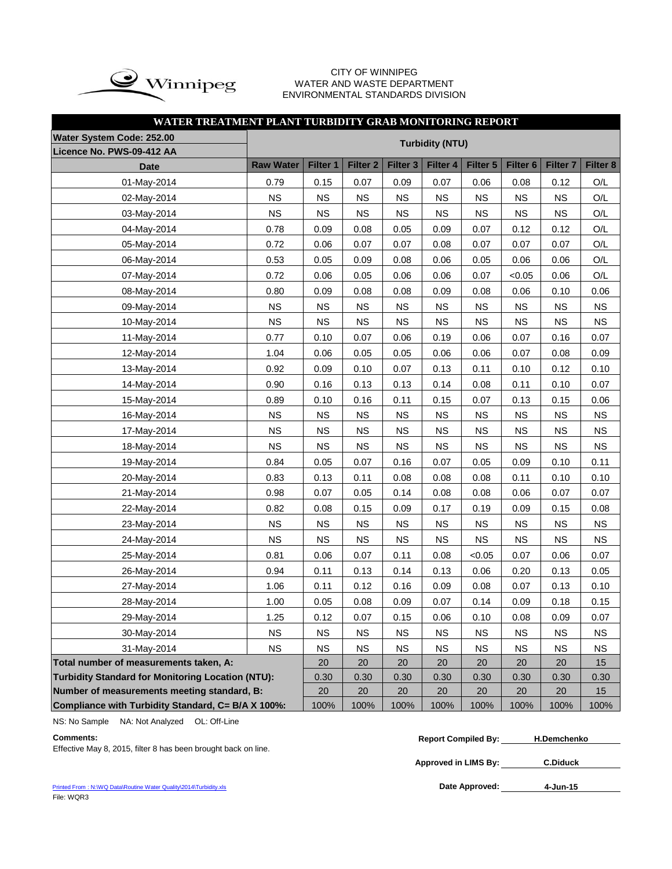

#### CITY OF WINNIPEG WATER AND WASTE DEPARTMENT ENVIRONMENTAL STANDARDS DIVISION

| WATER TREATMENT PLANT TURBIDITY GRAB MONITORING REPORT   |                  |             |                     |           |                        |           |                     |                     |           |
|----------------------------------------------------------|------------------|-------------|---------------------|-----------|------------------------|-----------|---------------------|---------------------|-----------|
| Water System Code: 252.00                                |                  |             |                     |           | <b>Turbidity (NTU)</b> |           |                     |                     |           |
| Licence No. PWS-09-412 AA                                |                  |             |                     |           |                        |           |                     |                     |           |
| <b>Date</b>                                              | <b>Raw Water</b> | Filter 1    | Filter <sub>2</sub> | Filter 3  | Filter 4               | Filter 5  | Filter <sub>6</sub> | Filter <sub>7</sub> | Filter 8  |
| 01-May-2014                                              | 0.79             | 0.15        | 0.07                | 0.09      | 0.07                   | 0.06      | 0.08                | 0.12                | O/L       |
| 02-May-2014                                              | <b>NS</b>        | NS          | <b>NS</b>           | <b>NS</b> | <b>NS</b>              | <b>NS</b> | <b>NS</b>           | <b>NS</b>           | O/L       |
| 03-May-2014                                              | <b>NS</b>        | <b>NS</b>   | <b>NS</b>           | <b>NS</b> | <b>NS</b>              | <b>NS</b> | <b>NS</b>           | <b>NS</b>           | O/L       |
| 04-May-2014                                              | 0.78             | 0.09        | 0.08                | 0.05      | 0.09                   | 0.07      | 0.12                | 0.12                | O/L       |
| 05-May-2014                                              | 0.72             | 0.06        | 0.07                | 0.07      | 0.08                   | 0.07      | 0.07                | 0.07                | O/L       |
| 06-May-2014                                              | 0.53             | 0.05        | 0.09                | 0.08      | 0.06                   | 0.05      | 0.06                | 0.06                | O/L       |
| 07-May-2014                                              | 0.72             | 0.06        | 0.05                | 0.06      | 0.06                   | 0.07      | < 0.05              | 0.06                | O/L       |
| 08-May-2014                                              | 0.80             | 0.09        | 0.08                | 0.08      | 0.09                   | 0.08      | 0.06                | 0.10                | 0.06      |
| 09-May-2014                                              | <b>NS</b>        | <b>NS</b>   | <b>NS</b>           | <b>NS</b> | <b>NS</b>              | <b>NS</b> | <b>NS</b>           | <b>NS</b>           | <b>NS</b> |
| 10-May-2014                                              | <b>NS</b>        | $_{\rm NS}$ | <b>NS</b>           | <b>NS</b> | <b>NS</b>              | <b>NS</b> | <b>NS</b>           | <b>NS</b>           | <b>NS</b> |
| 11-May-2014                                              | 0.77             | 0.10        | 0.07                | 0.06      | 0.19                   | 0.06      | 0.07                | 0.16                | 0.07      |
| 12-May-2014                                              | 1.04             | 0.06        | 0.05                | 0.05      | 0.06                   | 0.06      | 0.07                | 0.08                | 0.09      |
| 13-May-2014                                              | 0.92             | 0.09        | 0.10                | 0.07      | 0.13                   | 0.11      | 0.10                | 0.12                | 0.10      |
| 14-May-2014                                              | 0.90             | 0.16        | 0.13                | 0.13      | 0.14                   | 0.08      | 0.11                | 0.10                | 0.07      |
| 15-May-2014                                              | 0.89             | 0.10        | 0.16                | 0.11      | 0.15                   | 0.07      | 0.13                | 0.15                | 0.06      |
| 16-May-2014                                              | <b>NS</b>        | <b>NS</b>   | <b>NS</b>           | <b>NS</b> | <b>NS</b>              | <b>NS</b> | <b>NS</b>           | <b>NS</b>           | <b>NS</b> |
| 17-May-2014                                              | <b>NS</b>        | NS          | <b>NS</b>           | <b>NS</b> | <b>NS</b>              | <b>NS</b> | <b>NS</b>           | <b>NS</b>           | <b>NS</b> |
| 18-May-2014                                              | <b>NS</b>        | <b>NS</b>   | <b>NS</b>           | <b>NS</b> | <b>NS</b>              | <b>NS</b> | <b>NS</b>           | <b>NS</b>           | <b>NS</b> |
| 19-May-2014                                              | 0.84             | 0.05        | 0.07                | 0.16      | 0.07                   | 0.05      | 0.09                | 0.10                | 0.11      |
| 20-May-2014                                              | 0.83             | 0.13        | 0.11                | 0.08      | 0.08                   | 0.08      | 0.11                | 0.10                | 0.10      |
| 21-May-2014                                              | 0.98             | 0.07        | 0.05                | 0.14      | 0.08                   | 0.08      | 0.06                | 0.07                | 0.07      |
| 22-May-2014                                              | 0.82             | 0.08        | 0.15                | 0.09      | 0.17                   | 0.19      | 0.09                | 0.15                | 0.08      |
| 23-May-2014                                              | <b>NS</b>        | <b>NS</b>   | <b>NS</b>           | <b>NS</b> | <b>NS</b>              | <b>NS</b> | <b>NS</b>           | <b>NS</b>           | <b>NS</b> |
| 24-May-2014                                              | <b>NS</b>        | <b>NS</b>   | <b>NS</b>           | <b>NS</b> | <b>NS</b>              | <b>NS</b> | <b>NS</b>           | <b>NS</b>           | <b>NS</b> |
| 25-May-2014                                              | 0.81             | 0.06        | 0.07                | 0.11      | 0.08                   | < 0.05    | 0.07                | 0.06                | 0.07      |
| 26-May-2014                                              | 0.94             | 0.11        | 0.13                | 0.14      | 0.13                   | 0.06      | 0.20                | 0.13                | 0.05      |
| 27-May-2014                                              | 1.06             | 0.11        | 0.12                | 0.16      | 0.09                   | 0.08      | 0.07                | 0.13                | 0.10      |
| 28-May-2014                                              | 1.00             | 0.05        | 0.08                | 0.09      | 0.07                   | 0.14      | 0.09                | 0.18                | 0.15      |
| 29-May-2014                                              | 1.25             | 0.12        | 0.07                | 0.15      | 0.06                   | 0.10      | 0.08                | 0.09                | 0.07      |
| 30-May-2014                                              | NS               | <b>NS</b>   | <b>NS</b>           | <b>NS</b> | <b>NS</b>              | <b>NS</b> | <b>NS</b>           | <b>NS</b>           | <b>NS</b> |
| 31-May-2014                                              | <b>NS</b>        | <b>NS</b>   | <b>NS</b>           | <b>NS</b> | <b>NS</b>              | <b>NS</b> | <b>NS</b>           | <b>NS</b>           | ΝS        |
| Total number of measurements taken, A:                   |                  | 20          | 20                  | 20        | 20                     | 20        | 20                  | 20                  | 15        |
| <b>Turbidity Standard for Monitoring Location (NTU):</b> |                  | 0.30        | 0.30                | 0.30      | 0.30                   | 0.30      | 0.30                | 0.30                | 0.30      |
| Number of measurements meeting standard, B:              |                  | 20          | 20                  | 20        | 20                     | 20        | 20                  | 20                  | 15        |
| Compliance with Turbidity Standard, C= B/A X 100%:       |                  | 100%        | 100%                | 100%      | 100%                   | 100%      | 100%                | 100%                | 100%      |

NS: No Sample NA: Not Analyzed OL: Off-Line

Effective May 8, 2015, filter 8 has been brought back on line.

**Approved in LIMS By: C.Diduck**

[Printed From : N:\WQ Data\Routine Water Quality\2014\Turbidity.xls](C:/Documents and Settings/rgrossel/Local Settings/Temporary Internet Files/OLK13/Turbidity 2010.xls) File: WQR3

Date Approved: 4-Jun-15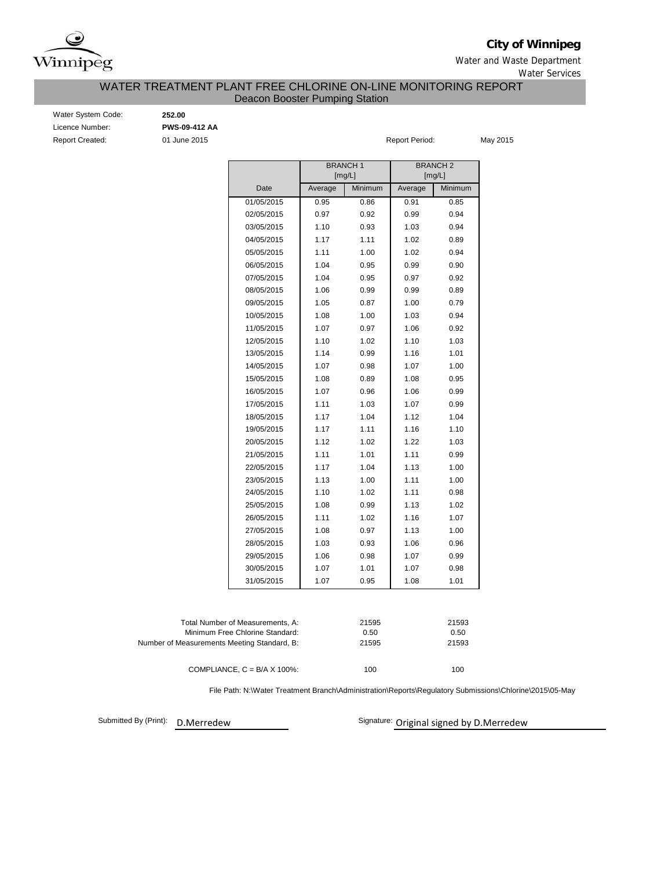

**City of Winnipeg**

Water and Waste Department Water Services

#### WATER TREATMENT PLANT FREE CHLORINE ON-LINE MONITORING REPORT Deacon Booster Pumping Station

| Water System Code      |
|------------------------|
| Licence Number:        |
| <b>Report Created:</b> |

Water System Code: **252.00**

Licence Number: **PWS-09-412 AA**

01 June 2015 **May 2015** Report Period: May 2015

|            |         | <b>BRANCH1</b><br>[mg/L] | <b>BRANCH2</b><br>[mg/L] |         |  |  |  |
|------------|---------|--------------------------|--------------------------|---------|--|--|--|
| Date       | Average | Minimum                  | Average                  | Minimum |  |  |  |
| 01/05/2015 | 0.95    | 0.86                     | 0.91                     | 0.85    |  |  |  |
| 02/05/2015 | 0.97    | 0.92                     | 0.99                     | 0.94    |  |  |  |
| 03/05/2015 | 1.10    | 0.93                     | 1.03                     | 0.94    |  |  |  |
| 04/05/2015 | 1.17    | 1.11                     | 1.02                     | 0.89    |  |  |  |
| 05/05/2015 | 1.11    | 1.00                     | 1.02                     | 0.94    |  |  |  |
| 06/05/2015 | 1.04    | 0.95                     | 0.99                     | 0.90    |  |  |  |
| 07/05/2015 | 1.04    | 0.95                     | 0.97                     | 0.92    |  |  |  |
| 08/05/2015 | 1.06    | 0.99                     | 0.99                     | 0.89    |  |  |  |
| 09/05/2015 | 1.05    | 0.87                     | 1.00                     | 0.79    |  |  |  |
| 10/05/2015 | 1.08    | 1.00                     | 1.03                     | 0.94    |  |  |  |
| 11/05/2015 | 1.07    | 0.97                     | 1.06                     | 0.92    |  |  |  |
| 12/05/2015 | 1.10    | 1.02                     | 1.10                     | 1.03    |  |  |  |
| 13/05/2015 | 1.14    | 0.99                     | 1.16                     | 1.01    |  |  |  |
| 14/05/2015 | 1.07    | 0.98                     | 1.07                     | 1.00    |  |  |  |
| 15/05/2015 | 1.08    | 0.89                     | 1.08                     | 0.95    |  |  |  |
| 16/05/2015 | 1.07    | 0.96                     | 1.06                     | 0.99    |  |  |  |
| 17/05/2015 | 1.11    | 1.03                     | 1.07                     | 0.99    |  |  |  |
| 18/05/2015 | 1.17    | 1.04                     | 1.12                     | 1.04    |  |  |  |
| 19/05/2015 | 1.17    | 1.11                     | 1.16                     | 1.10    |  |  |  |
| 20/05/2015 | 1.12    | 1.02                     | 1.22                     | 1.03    |  |  |  |
| 21/05/2015 | 1.11    | 1.01                     | 1.11                     | 0.99    |  |  |  |
| 22/05/2015 | 1.17    | 1.04                     | 1.13                     | 1.00    |  |  |  |
| 23/05/2015 | 1.13    | 1.00                     | 1.11                     | 1.00    |  |  |  |
| 24/05/2015 | 1.10    | 1.02                     | 1.11                     | 0.98    |  |  |  |
| 25/05/2015 | 1.08    | 0.99                     | 1.13                     | 1.02    |  |  |  |
| 26/05/2015 | 1.11    | 1.02                     | 1.16                     | 1.07    |  |  |  |
| 27/05/2015 | 1.08    | 0.97                     | 1.13                     | 1.00    |  |  |  |
| 28/05/2015 | 1.03    | 0.93                     | 1.06                     | 0.96    |  |  |  |
| 29/05/2015 | 1.06    | 0.98                     | 1.07                     | 0.99    |  |  |  |
| 30/05/2015 | 1.07    | 1.01                     | 1.07                     | 0.98    |  |  |  |
| 31/05/2015 | 1.07    | 0.95                     | 1.08                     | 1.01    |  |  |  |
|            |         |                          |                          |         |  |  |  |

| Total Number of Measurements. A:            | 21595 | 21593 |
|---------------------------------------------|-------|-------|
| Minimum Free Chlorine Standard:             | 0.50  | 0.50  |
| Number of Measurements Meeting Standard, B: | 21595 | 21593 |
|                                             |       |       |
| COMPLIANCE, $C = B/A \times 100\%$ :        | 100   | 100   |

File Path: N:\Water Treatment Branch\Administration\Reports\Regulatory Submissions\Chlorine\2015\05-May

Submitted By (Print): D.Merredew

Signature: Original signed by D.Merredew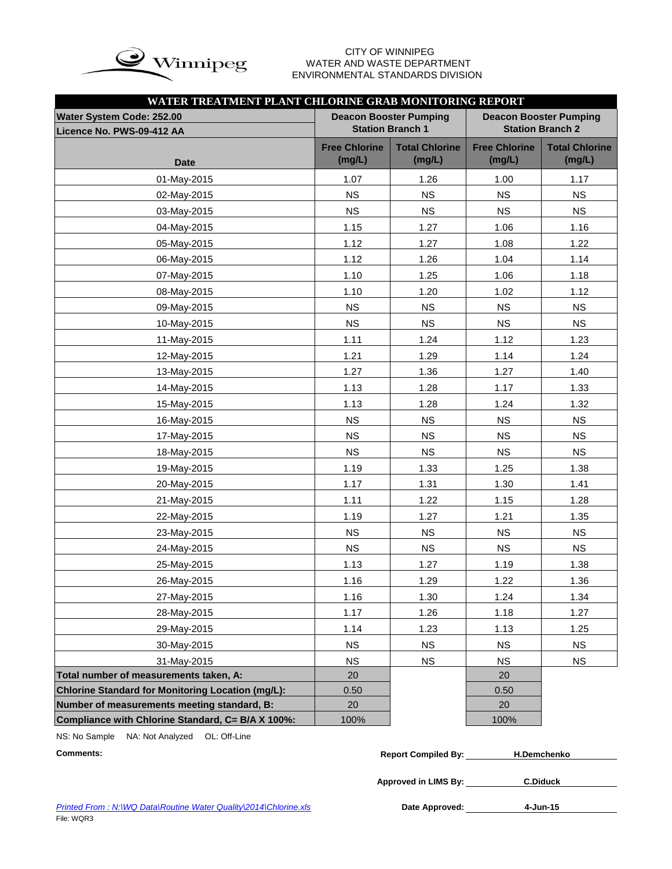

# WATER AND WASTE DEPARTMENT ENVIRONMENTAL STANDARDS DIVISION

| WATER TREATMENT PLANT CHLORINE GRAB MONITORING REPORT    |                                |                                                          |                                                          |                                 |  |  |  |  |  |  |
|----------------------------------------------------------|--------------------------------|----------------------------------------------------------|----------------------------------------------------------|---------------------------------|--|--|--|--|--|--|
| Water System Code: 252.00<br>Licence No. PWS-09-412 AA   |                                | <b>Deacon Booster Pumping</b><br><b>Station Branch 1</b> | <b>Deacon Booster Pumping</b><br><b>Station Branch 2</b> |                                 |  |  |  |  |  |  |
| <b>Date</b>                                              | <b>Free Chlorine</b><br>(mg/L) | <b>Total Chlorine</b><br>(mg/L)                          | <b>Free Chlorine</b><br>(mg/L)                           | <b>Total Chlorine</b><br>(mg/L) |  |  |  |  |  |  |
| 01-May-2015                                              | 1.07                           | 1.26                                                     | 1.00                                                     | 1.17                            |  |  |  |  |  |  |
| 02-May-2015                                              | <b>NS</b>                      | <b>NS</b>                                                | <b>NS</b>                                                | <b>NS</b>                       |  |  |  |  |  |  |
| 03-May-2015                                              | <b>NS</b>                      | <b>NS</b>                                                | <b>NS</b>                                                | NS                              |  |  |  |  |  |  |
| 04-May-2015                                              | 1.15                           | 1.27                                                     | 1.06                                                     | 1.16                            |  |  |  |  |  |  |
| 05-May-2015                                              | 1.12                           | 1.27                                                     | 1.08                                                     | 1.22                            |  |  |  |  |  |  |
| 06-May-2015                                              | 1.12                           | 1.26                                                     | 1.04                                                     | 1.14                            |  |  |  |  |  |  |
| 07-May-2015                                              | 1.10                           | 1.25                                                     | 1.06                                                     | 1.18                            |  |  |  |  |  |  |
| 08-May-2015                                              | 1.10                           | 1.20                                                     | 1.02                                                     | 1.12                            |  |  |  |  |  |  |
| 09-May-2015                                              | <b>NS</b>                      | <b>NS</b>                                                | <b>NS</b>                                                | NS                              |  |  |  |  |  |  |
| 10-May-2015                                              | <b>NS</b>                      | <b>NS</b>                                                | <b>NS</b>                                                | <b>NS</b>                       |  |  |  |  |  |  |
| 11-May-2015                                              | 1.11                           | 1.24                                                     | 1.12                                                     | 1.23                            |  |  |  |  |  |  |
| 12-May-2015                                              | 1.21                           | 1.29                                                     | 1.14                                                     | 1.24                            |  |  |  |  |  |  |
| 13-May-2015                                              | 1.27                           | 1.36                                                     | 1.27                                                     | 1.40                            |  |  |  |  |  |  |
| 14-May-2015                                              | 1.13                           | 1.28                                                     | 1.17                                                     | 1.33                            |  |  |  |  |  |  |
| 15-May-2015                                              | 1.13                           | 1.28                                                     | 1.24                                                     | 1.32                            |  |  |  |  |  |  |
| 16-May-2015                                              | <b>NS</b>                      | <b>NS</b>                                                | <b>NS</b>                                                | <b>NS</b>                       |  |  |  |  |  |  |
| 17-May-2015                                              | <b>NS</b>                      | <b>NS</b>                                                | <b>NS</b>                                                | <b>NS</b>                       |  |  |  |  |  |  |
| 18-May-2015                                              | <b>NS</b>                      | <b>NS</b>                                                | <b>NS</b>                                                | <b>NS</b>                       |  |  |  |  |  |  |
| 19-May-2015                                              | 1.19                           | 1.33                                                     | 1.25                                                     | 1.38                            |  |  |  |  |  |  |
| 20-May-2015                                              | 1.17                           | 1.31                                                     | 1.30                                                     | 1.41                            |  |  |  |  |  |  |
| 21-May-2015                                              | 1.11                           | 1.22                                                     | 1.15                                                     | 1.28                            |  |  |  |  |  |  |
| 22-May-2015                                              | 1.19                           | 1.27                                                     | 1.21                                                     | 1.35                            |  |  |  |  |  |  |
| 23-May-2015                                              | <b>NS</b>                      | <b>NS</b>                                                | <b>NS</b>                                                | <b>NS</b>                       |  |  |  |  |  |  |
| 24-May-2015                                              | <b>NS</b>                      | <b>NS</b>                                                | <b>NS</b>                                                | <b>NS</b>                       |  |  |  |  |  |  |
| 25-May-2015                                              | 1.13                           | 1.27                                                     | 1.19                                                     | 1.38                            |  |  |  |  |  |  |
| 26-May-2015                                              | 1.16                           | 1.29                                                     | 1.22                                                     | 1.36                            |  |  |  |  |  |  |
| 27-May-2015                                              | 1.16                           | 1.30                                                     | 1.24                                                     | 1.34                            |  |  |  |  |  |  |
| 28-May-2015                                              | 1.17                           | 1.26                                                     | 1.18                                                     | 1.27                            |  |  |  |  |  |  |
| 29-May-2015                                              | 1.14                           | 1.23                                                     | 1.13                                                     | 1.25                            |  |  |  |  |  |  |
| 30-May-2015                                              | <b>NS</b>                      | <b>NS</b>                                                | <b>NS</b>                                                | <b>NS</b>                       |  |  |  |  |  |  |
| 31-May-2015                                              | <b>NS</b>                      | <b>NS</b>                                                | <b>NS</b>                                                | <b>NS</b>                       |  |  |  |  |  |  |
| Total number of measurements taken, A:                   | 20                             |                                                          | 20                                                       |                                 |  |  |  |  |  |  |
| <b>Chlorine Standard for Monitoring Location (mg/L):</b> | 0.50                           |                                                          | 0.50                                                     |                                 |  |  |  |  |  |  |
| Number of measurements meeting standard, B:              | 20                             |                                                          | 20                                                       |                                 |  |  |  |  |  |  |
| Compliance with Chlorine Standard, C= B/A X 100%:        | 100%                           |                                                          | 100%                                                     |                                 |  |  |  |  |  |  |

NS: No Sample NA: Not Analyzed OL: Off-Line

| Comments: | <b>Report Compiled By:</b> | H.Demchenko |
|-----------|----------------------------|-------------|
|           |                            |             |

**Approved in LIMS By: C.Diduck**

Date Approved: 4-Jun-15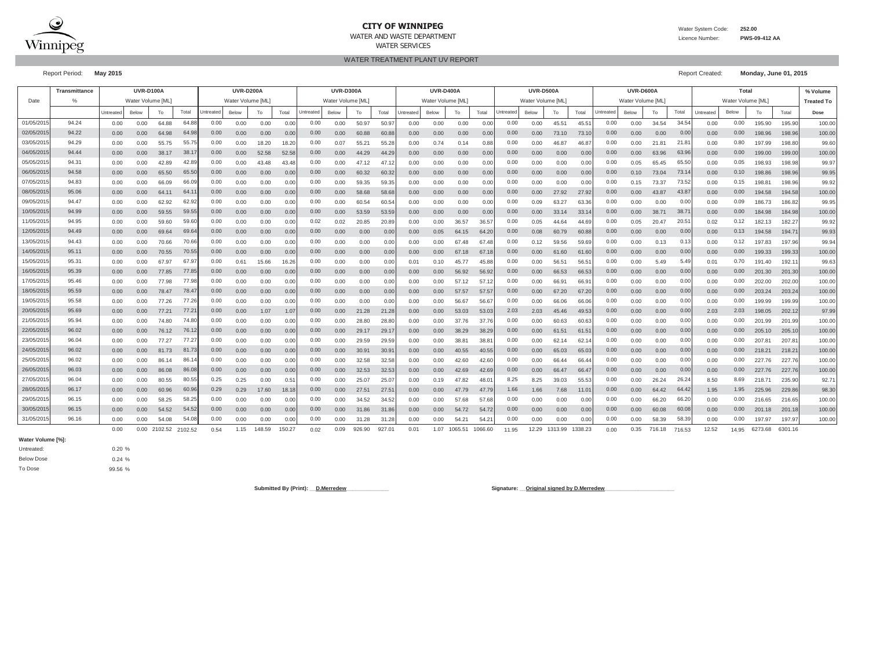

#### **CITY OF WINNIPEG**

Water System Code: **252.00**

 Licence Number:**PWS-09-412 AA**

WATER TREATMENT PLANT UV REPORT

Report Period: **May 2015** Report Created: **Monday, June 01, 2015**

|            | Transmittance |           | <b>UVR-D100A</b> |         |                |           | <b>UVR-D200A</b> |        |               |           | <b>UVR-D300A</b> |                |                |           | <b>UVR-D500A</b><br><b>UVR-D400A</b> |         |         |           |                  | UVR-D600A         |                |           |                  | Total  |        |           |                   | % Volume        |         |                   |
|------------|---------------|-----------|------------------|---------|----------------|-----------|------------------|--------|---------------|-----------|------------------|----------------|----------------|-----------|--------------------------------------|---------|---------|-----------|------------------|-------------------|----------------|-----------|------------------|--------|--------|-----------|-------------------|-----------------|---------|-------------------|
| Date       |               |           | Water Volume IML |         |                |           | Water Volume IML |        |               |           | Water Volume IML |                |                |           | Water Volume [ML                     |         |         |           | Water Volume IML |                   |                |           | Water Volume [ML |        |        |           | Water Volume [ML] |                 |         | <b>Treated To</b> |
|            |               | Untreated | Below            | To      | Total          | Untreated | Below            | To     | Total         | Untreated | Below            | To             | Total          | Untreated | Below                                | To      | Total   | Untreated | Below            | To                | Total          | Untreated | Below            | To     | Total  | Untreated | Below             | To              | Total   | Dose              |
| 01/05/201  | 94.24         | 0.00      | 0.00             | 64.88   | 64.88          | 0.00      | 0.00             | 0.00   | 0.00          | 0.00      | 0.00             | 50.97          | 50.9           | 0.00      | 0.00                                 | 0.00    | 0.0     | 0.00      | 0.00             | 45.51             | $45.5^{\circ}$ | 0.00      | 0.00             | 34.54  | 34.54  | 0.00      | 0.00              | 195.90          | 195.90  | 100.00            |
| 02/05/2015 | 94.22         | 0.00      | 0.00             | 64.98   | 64.98          | 0.00      | 0.00             | 0.00   | 0.00          | 0.00      | 0.00             | 60.88          | 60.88          | 0.00      | 0.00                                 | 0.00    | 0.0(    | 0.00      | 0.00             | 73.10             | 73.10          | 0.00      | 0.00             | 0.00   | 0.00   | 0.00      | 0.00              | 198.96          | 198.96  | 100.00            |
| 03/05/201  | 94.29         | 0.00      | 0.00             | 55.75   | 55.75          | 0.00      | 0.00             | 18.20  | 18.20         | 0.00      | 0.07             | $55.2^{\circ}$ | 55.28          | 0.00      | 0.74                                 | 0.14    | 0.81    | 0.00      | 0.00             | 46.87             | 46.87          | 0.00      | 0.00             | 21.81  | 21.8   | 0.00      | 0.80              | 197.99          | 198.80  | 99.60             |
| 04/05/201  | 94.44         | 0.00      | 0.00             | 38.17   | 38.1           | 0.00      | 0.00             | 52.58  | 52.58         | 0.00      | 0.00             | 44.29          | 44.2           | 0.00      | 0.00                                 | 0.00    | 0.0(    | 0.00      | 0.00             | 0.00              | 0.00           | 0.00      | 0.00             | 63.96  | 63.96  | 0.00      | 0.00              | 199.00          | 199.00  | 100.00            |
| 05/05/201  | 94.31         | 0.00      | 0.00             | 42.89   | 42.89          | 0.00      | 0.00             | 43.48  | 43.48         | 0.00      | 0.00             | 47.12          | 47.1           | 0.00      | 0.00                                 | 0.00    | 0.0     | 0.00      | 0.00             | 0.00              | 0.00           | 0.00      | 0.05             | 65.45  | 65.50  | 0.00      | 0.05              | 198.93          | 198.98  | 99.97             |
| 06/05/201  | 94.58         | 0.00      | 0.00             | 65.50   | 65.50          | 0.00      | 0.00             | 0.00   | 0.00          | 0.00      | 0.00             | 60.32          | 60.3           | 0.00      | 0.00                                 | 0.00    | 0.0(    | 0.00      | 0.00             | 0.00              | 0.00           | 0.00      | 0.10             | 73.04  | 73.1   | 0.00      | 0.10              | 198.86          | 198.96  | 99.95             |
| 07/05/201  | 94.83         | 0.00      | 0.00             | 66.09   | 66.09          | 0.00      | 0.00             | 0.00   | 0.00          | 0.00      | 0.00             | 59.35          | 59.3           | 0.00      | 0.00                                 | 0.00    | 0.0     | 0.00      | 0.00             | 0.00              | 0.00           | 0.00      | 0.15             | 73.37  | 73.5   | 0.00      | 0.15              | $198.8^{\circ}$ | 198.96  | 99.92             |
| 08/05/201  | 95.06         | 0.00      | 0.00             | 64.1'   | 64.            | 0.00      | 0.00             | 0.00   | 0.00          | 0.00      | 0.00             | 58.68          | 58.6           | 0.00      | 0.00                                 | 0.00    | 0.0     | 0.00      | 0.00             | 27.92             | 27.92          | 0.00      | 0.00             | 43.87  | 43.8   | 0.00      | 0.00              | 194.58          | 194.58  | 100.00            |
| 09/05/2015 | 94.47         | 0.00      | 0.00             | 62.92   | 62.92          | 0.00      | 0.00             | 0.00   | 0.00          | 0.00      | 0.00             | 60.54          | 60.54          | 0.00      | 0.00                                 | 0.00    | 0.01    | 0.00      | 0.09             | 63.27             | 63.36          | 0.00      | 0.00             | 0.00   | 0.00   | 0.00      | 0.09              | 186.73          | 186.82  | 99.95             |
| 10/05/2015 | 94.99         | 0.00      | 0.00             | 59.55   | 59.55          | 0.00      | 0.00             | 0.00   | 0.00          | 0.00      | 0.00             | 53.59          | 53.59          | 0.00      | 0.00                                 | 0.00    | 0.01    | 0.00      | 0.00             | 33.14             | 33.1           | 0.00      | 0.00             | 38.71  | 38.7   | 0.00      | 0.00              | 184.98          | 184.98  | 100.00            |
| 11/05/201  | 94.95         | 0.00      | 0.00             | 59.60   | 59.60          | 0.00      | 0.00             | 0.00   | 0.00          | 0.02      | 0.02             | 20.85          | 20.8           | 0.00      | 0.00                                 | 36.57   | 36.5    | 0.00      | 0.05             | 44.64             | 44.69          | 0.00      | 0.05             | 20.47  | 20.5   | 0.02      | 0.12              | 182.13          | 182.27  | 99.92             |
| 12/05/201  | 94.49         | 0.00      | 0.00             | 69.64   | 69.64          | 0.00      | 0.00             | 0.00   | 0.00          | 0.00      | 0.00             | 0.00           | 0.00           | 0.00      | 0.05                                 | 64.15   | 64.2    | 0.00      | 0.08             | 60.79             | 60.88          | 0.00      | 0.00             | 0.00   | 0.00   | 0.00      | 0.13              | 194.58          | 194.7   | 99.93             |
| 13/05/201  | 94.43         | 0.00      | 0.00             | 70.66   | 70.66          | 0.00      | 0.00             | 0.00   | 0.00          | 0.00      | 0.00             | 0.00           | 0.00           | 0.00      | 0.00                                 | 67.48   | 67.4    | 0.00      | 0.12             | 59.56             | 59.69          | 0.00      | 0.00             | 0.13   | 0.1    | 0.00      | 0.12              | 197.83          | 197.96  | 99.94             |
| 14/05/2015 | 95.11         | 0.00      | 0.00             | 70.55   | 70.5           | 0.00      | 0.00             | 0.00   | 0.00          | 0.00      | 0.00             | 0.00           | 0.0(           | 0.00      | 0.00                                 | 67.18   | 67.1    | 0.00      | 0.00             | 61.60             | 61.6           | 0.00      | 0.00             | 0.00   | 0.00   | 0.00      | 0.00              | 199.33          | 199.3   | 100.00            |
| 15/05/201  | 95.31         | 0.00      | 0.00             | 67.97   | 67.9           | 0.00      | 0.61             | 15.66  | 16.26         | 0.00      | 0.00             | 0.00           | 0.0            | 0.01      | 0.10                                 | 45.77   | 45.8    | 0.00      | 0.00             | $56.5^{\circ}$    | 56.5           | 0.00      | 0.00             | 5.49   | 5.49   | 0.01      | 0.70              | 191.40          | 192.1   | 99.63             |
| 16/05/201  | 95.39         | 0.00      | 0.00             | 77.85   | 77.8           | 0.00      | 0.00             | 0.00   | 0.00          | 0.00      | 0.00             | 0.00           | 0.00           | 0.00      | 0.00                                 | 56.92   | 56.9    | 0.00      | 0.00             | 66.53             | 66.5           | 0.00      | 0.00             | 0.00   | 0.00   | 0.00      | 0.00              | 201.30          | 201.30  | 100.00            |
| 17/05/201  | 95.46         | 0.00      | 0.00             | 77.98   | 77.98          | 0.00      | 0.00             | 0.00   | 0.00          | 0.00      | 0.00             | 0.00           | 0.00           | 0.00      | 0.00                                 | 57.12   | 57.1    | 0.00      | 0.00             | 66.9 <sup>°</sup> | 66.9           | 0.00      | 0.00             | 0.00   | 0.00   | 0.00      | 0.00              | 202.00          | 202.00  | 100.00            |
| 18/05/2015 | 95.59         | 0.00      | 0.00             | 78.47   | 78.4           | 0.00      | 0.00             | 0.00   | 0.00          | 0.00      | 0.00             | 0.00           | 0.00           | 0.00      | 0.00                                 | 57.57   | 57.57   | 0.00      | 0.00             | 67.20             | 67.20          | 0.00      | 0.00             | 0.00   | 0.00   | 0.00      | 0.00              | 203.24          | 203.24  | 100.00            |
| 19/05/2015 | 95.58         | 0.00      | 0.00             | 77.26   | 77.26          | 0.00      | 0.00             | 0.00   | 0.00          | 0.00      | 0.00             | 0.00           | 0.00           | 0.00      | 0.00                                 | 56.67   | 56.6    | 0.00      | 0.00             | 66.06             | 66.06          | 0.00      | 0.00             | 0.00   | 0.00   | 0.00      | 0.00              | 199.99          | 199.99  | 100.00            |
| 20/05/201  | 95.69         | 0.00      | 0.00             | 77.21   | $77.2^{\circ}$ | 0.00      | 0.00             | 1.07   | 1.07          | 0.00      | 0.00             | 21.28          | 21.28          | 0.00      | 0.00                                 | 53.03   | 53.0    | 2.03      | 2.03             | 45.46             | 49.53          | 0.00      | 0.00             | 0.00   | 0.00   | 2.03      | 2.03              | 198.05          | 202.12  | 97.99             |
| 21/05/201  | 95.94         | 0.00      | 0.00             | 74.80   | 74.80          | 0.00      | 0.00             | 0.00   | 0.00          | 0.00      | 0.00             | 28.80          | 28.8           | 0.00      | 0.00                                 | 37.76   | 37.7    | 0.00      | 0.00             | 60.63             | 60.63          | 0.00      | 0.00             | 0.00   | 0.00   | 0.00      | 0.00              | 201.99          | 201.99  | 100.00            |
| 22/05/201  | 96.02         | 0.00      | 0.00             | 76.12   | 76.12          | 0.00      | 0.00             | 0.00   | 0.00          | 0.00      | 0.00             | 29.17          | 29.1           | 0.00      | 0.00                                 | 38.29   | 38.2    | 0.00      | 0.00             | 61.51             | 61.5'          | 0.00      | 0.00             | 0.00   | 0.00   | 0.00      | 0.00              | 205.10          | 205.1   | 100.00            |
| 23/05/2015 | 96.04         | 0.00      | 0.00             | 77.27   | 77.27          | 0.00      | 0.00             | 0.00   | 0.00          | 0.00      | 0.00             | 29.59          | 29.59          | 0.00      | 0.00                                 | 38.8    | 38.8    | 0.00      | 0.00             | 62.14             | 62.1           | 0.00      | 0.00             | 0.00   | 0.00   | 0.00      | 0.00              | 207.81          | 207.8   | 100.00            |
| 24/05/201  | 96.02         | 0.00      | 0.00             | 81.73   | 81.7           | 0.00      | 0.00             | 0.00   | 0.00          | 0.00      | 0.00             | 30.91          | 30.9           | 0.00      | 0.00                                 | 40.55   | 40.55   | 0.00      | 0.00             | 65.03             | 65.0           | 0.00      | 0.00             | 0.00   | 0.00   | 0.00      | 0.00              | 218.21          | 218.2   | 100.00            |
| 25/05/201  | 96.02         | 0.00      | 0.00             | 86.1    | 86.            | 0.00      | 0.00             | 0.00   | 0.00          | 0.00      | 0.00             | 32.58          | $32.5^{\circ}$ | 0.00      | 0.00                                 | 42.60   | 42.6    | 0.00      | 0.00             | 66.4              | 66.4           | 0.00      | 0.00             | 0.00   | 0.0    | 0.00      | 0.00              | 227.76          | 227.76  | 100.00            |
| 26/05/201  | 96.03         | 0.00      | 0.00             | 86.08   | 86.08          | 0.00      | 0.00             | 0.00   | 0.00          | 0.00      | 0.00             | 32.53          | 32.5           | 0.00      | 0.00                                 | 42.69   | 42.6    | 0.00      | 0.00             | 66.47             | 66.47          | 0.00      | 0.00             | 0.00   | 0.00   | 0.00      | 0.00              | 227.76          | 227.76  | 100.00            |
| 27/05/2015 | 96.04         | 0.00      | 0.00             | 80.55   | 80.55          | 0.25      | 0.25             | 0.00   | $0.5^{\circ}$ | 0.00      | 0.00             | 25.07          | 25.0           | 0.00      | 0.19                                 | 47.82   | 48.0    | 8.25      | 8.25             | 39.03             | 55.53          | 0.00      | 0.00             | 26.24  | 26.24  | 8.50      | 8.69              | 218.7'          | 235.90  | 92.71             |
| 28/05/201  | 96.17         | 0.00      | 0.00             | 60.96   | 60.96          | 0.29      | 0.29             | 17.60  | 18.1          | 0.00      | 0.00             | 27.51          | 27.5           | 0.00      | 0.00                                 | 47.79   | 47.7    | 1.66      | 1.66             | 7.68              | $11.0^{\circ}$ | 0.00      | 0.00             | 64.42  | 64.42  | 1.95      | 1.95              | 225.96          | 229,86  | 98.30             |
| 29/05/201  | 96.15         | 0.00      | 0.00             | 58.25   | 58.2           | 0.00      | 0.00             | 0.00   | 0.00          | 0.00      | 0.00             | 34.52          | 34.5           | 0.00      | 0.00                                 | 57.68   | 57.6    | 0.00      | 0.00             | 0.00              | 0.00           | 0.00      | 0.00             | 66.20  | 66.2   | 0.00      | 0.00              | 216.65          | 216.65  | 100.00            |
| 30/05/201  | 96.15         | 0.00      | 0.00             | 54.52   | 54.52          | 0.00      | 0.00             | 0.00   | 0.00          | 0.00      | 0.00             | 31.86          | 31.8           | 0.00      | 0.00                                 | 54.72   | 54.7    | 0.00      | 0.00             | 0.00              | 0.00           | 0.00      | 0.00             | 60.08  | 60.08  | 0.00      | 0.00              | 201.18          | 201.18  | 100.00            |
| 31/05/2015 | 96.16         | 0.00      | 0.00             | 54.08   | 54.08          | 0.00      | 0.00             | 0.00   | 0.00          | 0.00      | 0.00             | 31.28          | 31.2           | 0.00      | 0.00                                 | 54.21   | 54.2    | 0.00      | 0.00             | 0.00              | 0.00           | 0.00      | 0.00             | 58.39  | 58.39  | 0.00      | 0.00              | 197.97          | 197.97  | 100.00            |
|            |               | 0.00      | 0.00             | 2102.52 | 2102.52        | 0.54      | 1.15             | 148.59 | 150.27        | 0.02      | 0.09             | 926.90         | 927.01         | 0.01      | 1.07                                 | 1065.51 | 1066.60 | 11.95     | 12.29            | 1313.99           | 1338.23        | 0.00      | 0.35             | 716.18 | 716.53 | 12.52     | 14.95             | 6273.68         | 6301.16 |                   |

**Water Volume [%]:**

0.20 %0.24 %99.56 %Below Dose Untreated:To Dose

**Submitted By (Print): \_\_D.Merredew\_\_\_\_\_\_\_\_\_\_\_\_\_\_ Signature: \_\_Original signed by D.Merredew\_\_\_\_\_\_\_\_\_\_\_\_\_\_\_\_\_\_\_\_\_\_\_**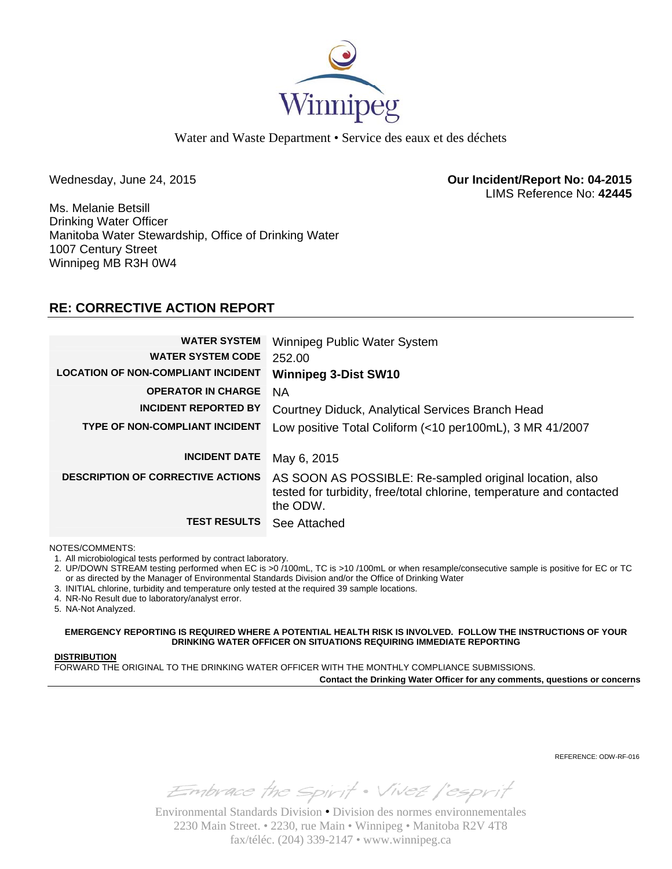

Water and Waste Department • Service des eaux et des déchets

Wednesday, June 24, 2015 **Our Incident/Report No: 04-2015**  LIMS Reference No: **42445**

Ms. Melanie Betsill Drinking Water Officer Manitoba Water Stewardship, Office of Drinking Water 1007 Century Street Winnipeg MB R3H 0W4

## **RE: CORRECTIVE ACTION REPORT**

| <b>WATER SYSTEM</b><br><b>WATER SYSTEM CODE</b> | Winnipeg Public Water System<br>252.00                                                                                                      |
|-------------------------------------------------|---------------------------------------------------------------------------------------------------------------------------------------------|
| <b>LOCATION OF NON-COMPLIANT INCIDENT</b>       | <b>Winnipeg 3-Dist SW10</b>                                                                                                                 |
| <b>OPERATOR IN CHARGE</b>                       | NA.                                                                                                                                         |
| <b>INCIDENT REPORTED BY</b>                     | Courtney Diduck, Analytical Services Branch Head                                                                                            |
| <b>TYPE OF NON-COMPLIANT INCIDENT</b>           | Low positive Total Coliform (<10 per100mL), 3 MR 41/2007                                                                                    |
|                                                 |                                                                                                                                             |
| <b>INCIDENT DATE</b>                            | May 6, 2015                                                                                                                                 |
| <b>DESCRIPTION OF CORRECTIVE ACTIONS</b>        | AS SOON AS POSSIBLE: Re-sampled original location, also<br>tested for turbidity, free/total chlorine, temperature and contacted<br>the ODW. |
| <b>TEST RESULTS</b>                             | See Attached                                                                                                                                |

NOTES/COMMENTS:

1. All microbiological tests performed by contract laboratory.

2. UP/DOWN STREAM testing performed when EC is >0 /100mL, TC is >10 /100mL or when resample/consecutive sample is positive for EC or TC or as directed by the Manager of Environmental Standards Division and/or the Office of Drinking Water

3. INITIAL chlorine, turbidity and temperature only tested at the required 39 sample locations.

4. NR-No Result due to laboratory/analyst error.

5. NA-Not Analyzed.

**EMERGENCY REPORTING IS REQUIRED WHERE A POTENTIAL HEALTH RISK IS INVOLVED. FOLLOW THE INSTRUCTIONS OF YOUR DRINKING WATER OFFICER ON SITUATIONS REQUIRING IMMEDIATE REPORTING**

#### **DISTRIBUTION**

FORWARD THE ORIGINAL TO THE DRINKING WATER OFFICER WITH THE MONTHLY COMPLIANCE SUBMISSIONS.

**Contact the Drinking Water Officer for any comments, questions or concerns**

REFERENCE: ODW-RF-016

Embrace the spirit . Vivez l'esprit

Environmental Standards Division • Division des normes environnementales 2230 Main Street. • 2230, rue Main • Winnipeg • Manitoba R2V 4T8 fax/téléc. (204) 339-2147 • www.winnipeg.ca